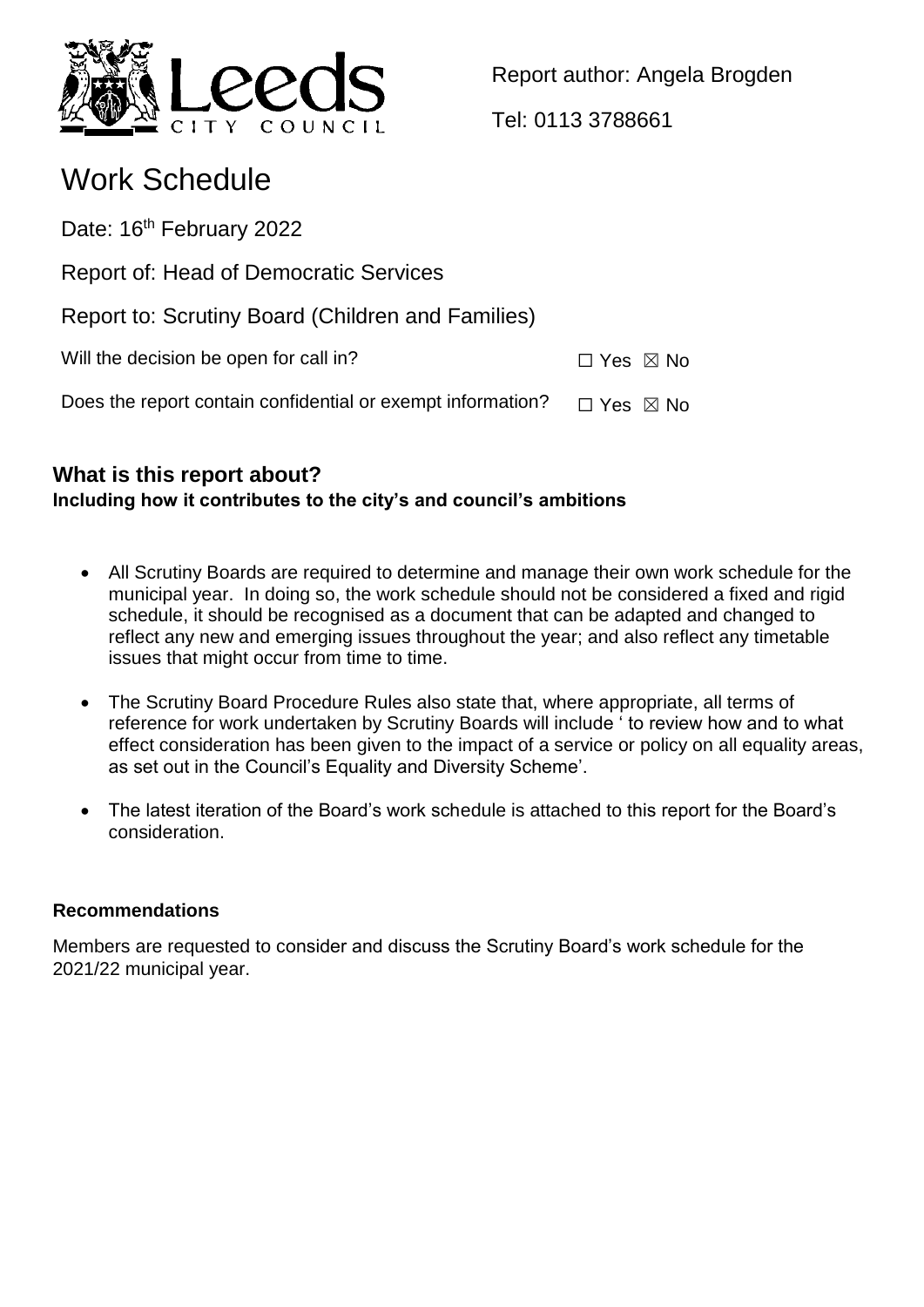

Report author: Angela Brogden

Tel: 0113 3788661

# Work Schedule

Date: 16<sup>th</sup> February 2022

Report of: Head of Democratic Services

Report to: Scrutiny Board (Children and Families)

Will the decision be open for call in?  $\Box$  Yes  $\boxtimes$  No

Does the report contain confidential or exempt information?  $\Box$  Yes  $\boxtimes$  No

# **What is this report about? Including how it contributes to the city's and council's ambitions**

- All Scrutiny Boards are required to determine and manage their own work schedule for the municipal year. In doing so, the work schedule should not be considered a fixed and rigid schedule, it should be recognised as a document that can be adapted and changed to reflect any new and emerging issues throughout the year; and also reflect any timetable issues that might occur from time to time.
- The Scrutiny Board Procedure Rules also state that, where appropriate, all terms of reference for work undertaken by Scrutiny Boards will include ' to review how and to what effect consideration has been given to the impact of a service or policy on all equality areas, as set out in the Council's Equality and Diversity Scheme'.
- The latest iteration of the Board's work schedule is attached to this report for the Board's consideration.

# **Recommendations**

Members are requested to consider and discuss the Scrutiny Board's work schedule for the 2021/22 municipal year.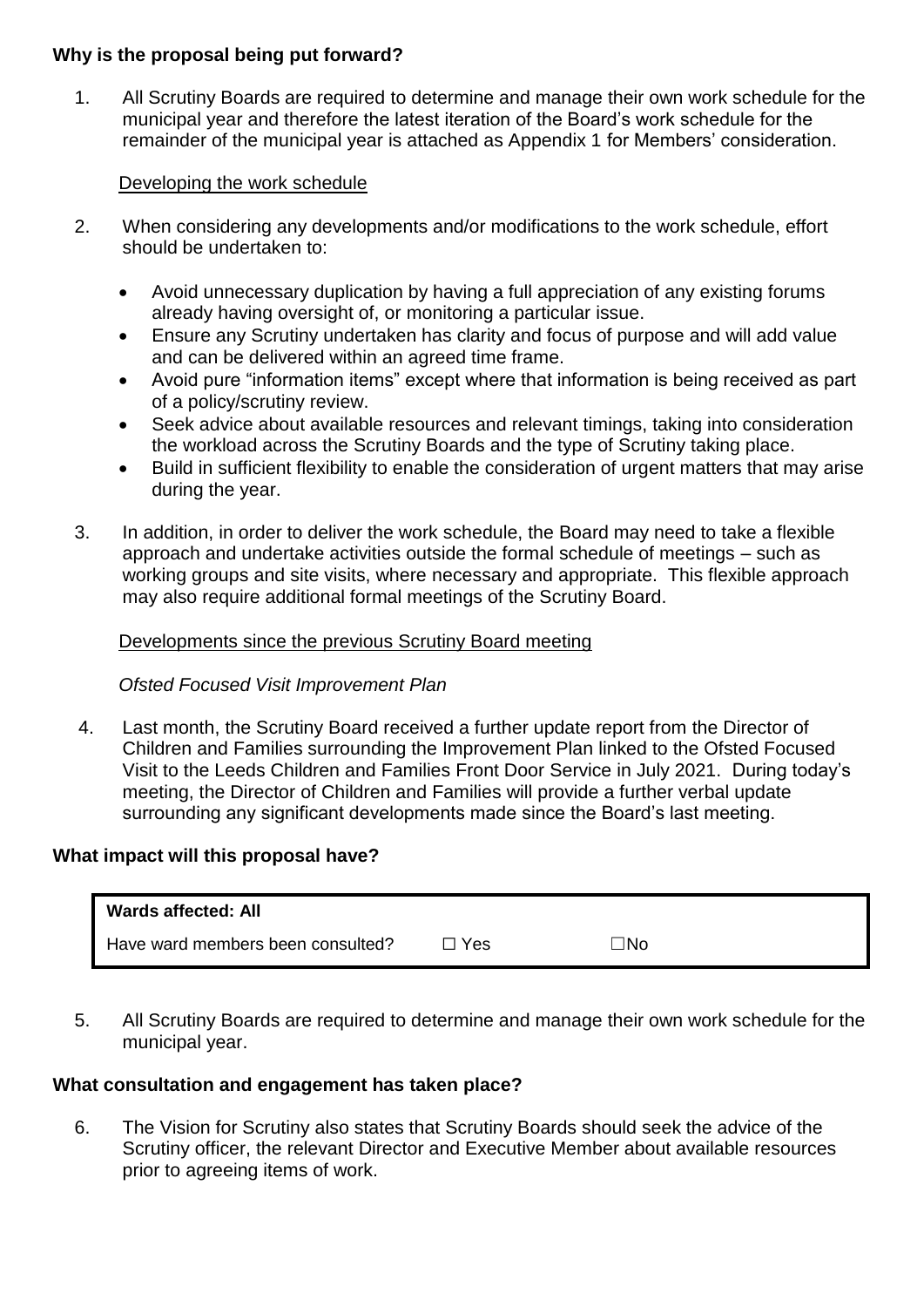#### **Why is the proposal being put forward?**

1. All Scrutiny Boards are required to determine and manage their own work schedule for the municipal year and therefore the latest iteration of the Board's work schedule for the remainder of the municipal year is attached as Appendix 1 for Members' consideration.

### Developing the work schedule

- 2. When considering any developments and/or modifications to the work schedule, effort should be undertaken to:
	- Avoid unnecessary duplication by having a full appreciation of any existing forums already having oversight of, or monitoring a particular issue.
	- Ensure any Scrutiny undertaken has clarity and focus of purpose and will add value and can be delivered within an agreed time frame.
	- Avoid pure "information items" except where that information is being received as part of a policy/scrutiny review.
	- Seek advice about available resources and relevant timings, taking into consideration the workload across the Scrutiny Boards and the type of Scrutiny taking place.
	- Build in sufficient flexibility to enable the consideration of urgent matters that may arise during the year.
- 3. In addition, in order to deliver the work schedule, the Board may need to take a flexible approach and undertake activities outside the formal schedule of meetings – such as working groups and site visits, where necessary and appropriate. This flexible approach may also require additional formal meetings of the Scrutiny Board.

#### Developments since the previous Scrutiny Board meeting

#### *Ofsted Focused Visit Improvement Plan*

4. Last month, the Scrutiny Board received a further update report from the Director of Children and Families surrounding the Improvement Plan linked to the Ofsted Focused Visit to the Leeds Children and Families Front Door Service in July 2021. During today's meeting, the Director of Children and Families will provide a further verbal update surrounding any significant developments made since the Board's last meeting.

#### **What impact will this proposal have?**

| <b>Wards affected: All</b>        |       |           |
|-----------------------------------|-------|-----------|
| Have ward members been consulted? | □ Yes | $\Box$ No |

5. All Scrutiny Boards are required to determine and manage their own work schedule for the municipal year.

#### **What consultation and engagement has taken place?**

6. The Vision for Scrutiny also states that Scrutiny Boards should seek the advice of the Scrutiny officer, the relevant Director and Executive Member about available resources prior to agreeing items of work.